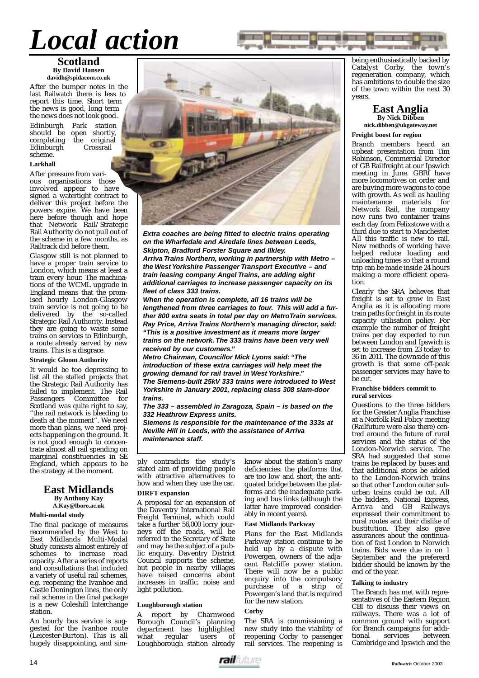## *Local action*

### **Scotland By David Hansen davidh@spidacom.co.uk**

After the bumper notes in the last *Railwatch* there is less to report this time. Short term the news is good, long term the news does not look good.

Edinburgh Park station should be open shortly,<br>completing the original the original<br>Crossrail Edinburgh scheme.

### **Larkhall**

After pressure from various organisations those involved appear to have signed a watertight contract to deliver this project before the powers expire. We have been here before though and hope that Network Rail/Strategic Rail Authority do not pull out of the scheme in a few months, as Railtrack did before them.

Glasgow still is not planned to have a proper train service to London, which means at least a train every hour. The machinations of the WCML upgrade in England means that the promised hourly London-Glasgow train service is not going to be delivered by the so-called Strategic Rail Authority. Instead they are going to waste some trains on services to Edinburgh, a route already served by new trains. This is a disgrace.

### **Strategic Gloom Authority**

It would be too depressing to list all the stalled projects that the Strategic Rail Authority has failed to implement. The Rail<br>Passengers Committee for Passengers Committee Scotland was quite right to say, "the rail network is bleeding to death at the moment". We need more than plans, we need projects happening on the ground. It is not good enough to concentrate almost all rail spending on marginal constituencies in SE England, which appears to be the strategy at the moment.

### **East Midlands By Anthony Kay**

**A.Kay@lboro.ac.uk**

### **Multi-modal study**

The final package of measures recommended by the West to East Midlands Multi-Modal Study consists almost entirely of schemes to increase road capacity. After a series of reports and consultations that included a variety of useful rail schemes, e.g. reopening the Ivanhoe and Castle Donington lines, the only rail scheme in the final package is a new Coleshill Interchange station.

An hourly bus service is suggested for the Ivanhoe route (Leicester-Burton). This is all hugely disappointing, and sim-

**Extra coaches are being fitted to electric trains operating on the Wharfedale and Airedale lines between Leeds, Skipton, Bradford Forster Square and Ilkley. Arriva Trains Northern, working in partnership with Metro – the West Yorkshire Passenger Transport Executive – and train leasing company Angel Trains, are adding eight additional carriages to increase passenger capacity on its fleet of class 333 trains.**

**When the operation is complete, all 16 trains will be lengthened from three carriages to four. This will add a further 800 extra seats in total per day on MetroTrain services. Ray Price, Arriva Trains Northern's managing director, said:**

**"This is a positive investment as it means more larger trains on the network. The 333 trains have been very well received by our customers."**

**Metro Chairman, Councillor Mick Lyons said: "The introduction of these extra carriages will help meet the growing demand for rail travel in West Yorkshire." The Siemens-built 25kV 333 trains were introduced to West Yorkshire in January 2001, replacing class 308 slam-door trains.**

**The 333 – assembled in Zaragoza, Spain – is based on the 332 Heathrow Express units.**

**Siemens is responsible for the maintenance of the 333s at Neville Hill in Leeds, with the assistance of Arriva maintenance staff.**

ply contradicts the study's stated aim of providing people with attractive alternatives to how and when they use the car.

### **DIRFT expansion**

A proposal for an expansion of the Daventry International Rail Freight Terminal, which could take a further 56,000 lorry journeys off the roads, will be referred to the Secretary of State and may be the subject of a public enquiry. Daventry District Council supports the scheme, but people in nearby villages have raised concerns about increases in traffic, noise and light pollution.

### **Loughborough station**

report by Charnwood Borough Council's planning department has highlighted<br>what regular users of regular Loughborough station already know about the station's many deficiencies: the platforms that are too low and short, the antiquated bridge between the platforms and the inadequate parking and bus links (although the latter have improved considerably in recent years).

### **East Midlands Parkway**

Plans for the East Midlands Parkway station continue to be held up by a dispute with Powergen, owners of the adjacent Ratcliffe power station. There will now be a public enquiry into the compulsory<br>purchase of a strip of  $\frac{1}{2}$  purchase of a strip Powergen's land that is required for the new station.

### **Corby**

The SRA is commissioning a new study into the viability of reopening Corby to passenger rail services. The reopening is being enthusiastically backed by Catalyst Corby, the town's regeneration company, which has ambitions to double the size of the town within the next 30 years.

### **East Anglia By Nick Dibben**

**nick.dibben@ukgateway.net**

### **Freight boost for region**

Branch members heard an upbeat presentation from Tim Robinson, Commercial Director of GB Railfreight at our Ipswich meeting in June. GBRf have more locomotives on order and are buying more wagons to cope with growth. As well as hauling<br>maintenance materials for maintenance materials Network Rail, the company now runs two container trains each day from Felixstowe with a third due to start to Manchester. All this traffic is new to rail. New methods of working have helped reduce loading and unloading times so that a round trip can be made inside 24 hours making a more efficient operation.

Clearly the SRA believes that freight is set to grow in East Anglia as it is allocating more train paths for freight in its route capacity utilisation policy. For example the number of freight trains per day expected to run between London and Ipswich is set to increase from 23 today to 36 in 2011. The downside of this growth is that some off-peak passenger services may have to be cut.

### **Franchise bidders commit to rural services**

Questions to the three bidders for the Greater Anglia Franchise at a Norfolk Rail Policy meeting (Railfuture were also there) centred around the future of rural services and the status of the London-Norwich service. The SRA had suggested that some trains be replaced by buses and that additional stops be added to the London-Norwich trains so that other London outer suburban trains could be cut. All the bidders, National Express, Arriva and GB Railways expressed their commitment to rural routes and their dislike of bustitution. They also gave assurances about the continuation of fast London to Norwich trains. Bids were due in on 1 September and the prefererd bidder should be known by the end of the year.

### **Talking to industry**

The Branch has met with representatives of the Eastern Region CBI to discuss their views on railways. There was a lot of common ground with support for Branch campaigns for additional services between services Cambridge and Ipswich and the

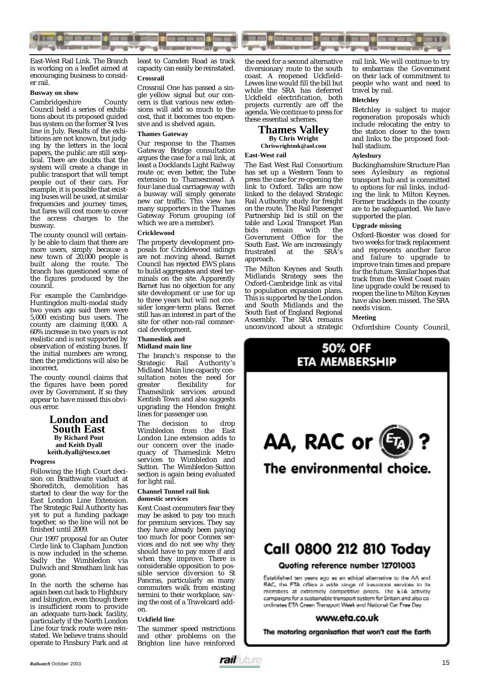

East-West Rail Link. The Branch is working on a leaflet aimed at encouraging business to consider rail.

### **Busway on show**

Cambridgeshire County Council held a series of exhibitions about its proposed guided bus system on the former St Ives line in July. Results of the exhibitions are not known, but judging by the letters in the local papers, the public are still sceptical. There are doubts that the system will create a change in public transport that will tempt people out of their cars. For example, it is possible that existing buses will be used, at similar frequencies and journey times, but fares will cost more to cover the access charges to the busway.

The county council will certainly be able to claim that there are more users, simply because a new town of 20,000 people is built along the route. The branch has questioned some of the figures produced by the council.

For example the Cambridge-Huntingdon multi-modal study two years ago said there were 5,000 existing bus users. The county are claiming 8,000. A 60% increase in two years is not realistic and is not supported by observation of existing buses. If the initial numbers are wrong, then the predictions will also be incorrect.

The county council claims that the figures have been pored over by Government. If so they appear to have missed this obvious error.

### **London and South East By Richard Pout and Keith Dyall keith.dyall@tesco.net**

### **Progress**

Following the High Court decision on Braithwaite viaduct at Shoreditch, demolition has started to clear the way for the East London Line Extension. The Strategic Rail Authority has yet to put a funding package together, so the line will not be finished until 2009.

Our 1997 proposal for an Outer Circle link to Clapham Junction is now included in the scheme. Sadly the Wimbledon via Dulwich and Streatham link has gone.

In the north the scheme has again been cut back to Highbury and Islington, even though there is insufficient room to provide an adequate turn-back facility, particularly if the North London Line four track route were reinstated. We believe trains should operate to Finsbury Park and at

least to Camden Road as track capacity can easily be reinstated. **Crossrail**

Crossrail One has passed a single yellow signal but our concern is that various new extensions will add so much to the cost, that it becomes too expensive and is shelved again.

### **Thames Gateway**

Our response to the Thames Gateway Bridge consultation argues the case for a rail link, at least a Docklands Light Railway route or, even better, the Tube extension to Thamesmead. A four-lane dual carriageway with a busway will simply generate new car traffic. This view has many supporters in the Thames Gateway Forum grouping (of which we are a member).

### **Cricklewood**

The property development proposals for Cricklewood sidings are not moving ahead. Barnet Council has rejected EWS plans to build aggregates and steel terminals on the site. Apparently Barnet has no objection for any site development or use for up to three years but will not consider longer-term plans. Barnet still has an interest in part of the site for other non-rail commercial development.

### **Thameslink and Midland main line**

The branch's response to the Strategic Rail Authority's Midland Main line capacity consultation notes the need for<br>greater flexibility for flexibility for Thameslink services around Kentish Town and also suggests upgrading the Hendon freight lines for passenger use.

The decision to drop Wimbledon from the East London Line extension adds to our concern over the inadequacy of Thameslink Metro services to Wimbledon and Sutton. The Wimbledon-Sutton section is again being evaluated for light rail.

### **Channel Tunnel rail link domestic services**

Kent Coast commuters fear they may be asked to pay too much for premium services. They say they have already been paying too much for poor Connex services and do not see why they should have to pay more if and when they improve. There is considerable opposition to possible service diversion to St Pancras, particularly as many commuters walk from existing termini to their workplace, saving the cost of a Travelcard addon.

### **Uckfield line**

The summer speed restrictions and other problems on the Brighton line have reinforced the need for a second alternative diversionary route to the south coast. A reopened Uckfield-Lewes line would fill the bill but while the SRA has deferred Uckfield electrification, both projects currently are off the agenda. We continue to press for these essential schemes.

### **Thames Valley By Chris Wright**

**Chriswrightmk@aol.com**

### **East-West rail**

The East West Rail Consortium has set up a Western Team to press the case for re-opening the link to Oxford. Talks are now linked to the delayed Strategic Rail Authority study for freight on the route. The Rail Passenger Partnership bid is still on the table and Local Transport Plan bids remain with the Government Office for the South East. We are increasingly<br>frustrated at the SRA's at the SR $\chi^2$ 's approach.

The Milton Keynes and South Midlands Strategy sees the Oxford-Cambridge link as vital to population expansion plans. This is supported by the London and South Midlands and the South East of England Regional Assembly. The SRA remains unconvinced about a strategic rail link. We will continue to try to embarrass the Government on their lack of commitment to people who want and need to travel by rail.

### **Bletchley**

Bletchley is subject to major regeneration proposals which include relocating the entry to the station closer to the town and links to the proposed football stadium.

### **Aylesbury**

Buckinghamshire Structure Plan sees Aylesbury as regional transport hub and is committed to options for rail links, including the link to Milton Keynes. Former trackbeds in the county are to be safeguarded. We have supported the plan.

### **Upgrade missing**

Oxford-Bicester was closed for two weeks for track replacement and represents another farce and failure to upgrade to improve train times and prepare for the future. Similar hopes that track from the West Coast main line upgrade could be reused to reopen the line to Milton Keynes have also been missed. The SRA needs vision.

### **Meeting**

Oxfordshire County Council,



### Call 0800 212 810 Today

### Quoting reference number 12701003

Established ten years ago as an ethical alternative to the AA and RAC, the FTA offers a wide range of insurance services to its members at extremely competitive prices. The ETA actively campaigns for a sustainable transport system for Britain and also coordinates ETA Green Transport Week and National Car Free Day.

### www.eta.co.uk

The motoring organisation that won't cost the Earth

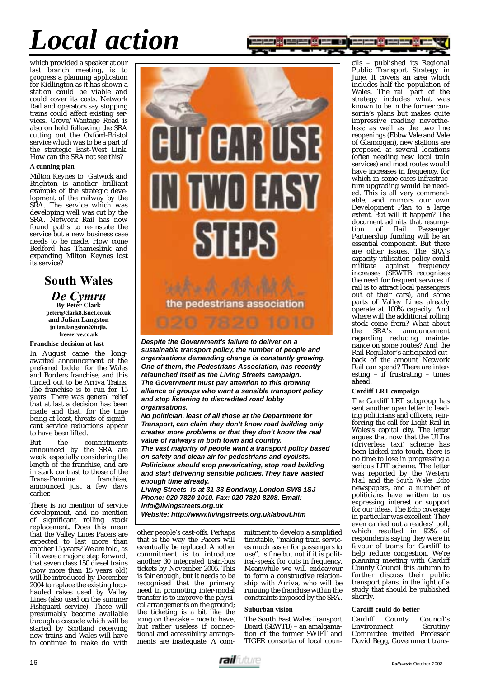## *Local action*

which provided a speaker at our last branch meeting, is to progress a planning application for Kidlington as it has shown a station could be viable and could cover its costs. Network Rail and operators say stopping trains could affect existing services. Grove/Wantage Road is also on hold following the SRA cutting out the Oxford-Bristol service which was to be a part of the strategic East-West Link. How can the SRA not see this?

### **A cunning plan**

Milton Keynes to Gatwick and Brighton is another brilliant example of the strategic development of the railway by the SRA. The service which was developing well was cut by the SRA. Network Rail has now found paths to re-instate the service but a new business case needs to be made. How come Bedford has Thameslink and expanding Milton Keynes lost its service?

### **South Wales** *De Cymru* **By Peter Clark peter@clark8.fsnet.co.uk and Julian Langston julian.langston@tujla. freeserve.co.uk**

### **Franchise decision at last**

In August came the longawaited announcement of the preferred bidder for the Wales and Borders franchise, and this turned out to be Arriva Trains. The franchise is to run for 15 years. There was general relief that at last a decision has been made and that, for the time being at least, threats of significant service reductions appear to have been lifted.

But the commitments announced by the SRA are weak, especially considering the length of the franchise, and are in stark contrast to those of the<br>Trans-Pennine franchise. Trans-Pennine announced just a few days earlier.

There is no mention of service development, and no mention of significant rolling stock replacement. Does this mean that the Valley Lines Pacers are expected to last more than another 15 years? We are told, as if it were a major a step forward, that seven class 150 diesel trains (now more than 15 years old) will be introduced by December 2004 to replace the existing locohauled rakes used by Valley Lines (also used on the summer Fishguard service). These will presumably become available through a cascade which will be started by Scotland receiving new trains and Wales will have to continue to make do with

# EUTERRU IN WORKSY 81158

**Despite the Government's failure to deliver on a sustainable transport policy, the number of people and organisations demanding change is constantly growing. One of them, the Pedestrians Association, has recently relaunched itself as the Living Streets campaign. The Government must pay attention to this growing alliance of groups who want a sensible transport policy and stop listening to discredited road lobby organisations.**

**No politician, least of all those at the Department for Transport, can claim they don't know road building only creates more problems or that they don't know the real value of railways in both town and country.**

**The vast majority of people want a transport policy based on safety and clean air for pedestrians and cyclists. Politicians should stop prevaricating, stop road building and start delivering sensible policies. They have wasted enough time already.**

**Living Streets is at 31-33 Bondway, London SW8 1SJ Phone: 020 7820 1010. Fax: 020 7820 8208. Email: info@livingstreets.org.uk Website: http://www.livingstreets.org.uk/about.htm** 

other people's cast-offs. Perhaps that is the way the Pacers will eventually be replaced. Another commitment is to introduce another 30 integrated train-bus tickets by November 2005. This is fair enough, but it needs to be recognised that the primary need in promoting inter-modal transfer is to improve the physical arrangements on the ground; the ticketing is a bit like the icing on the cake – nice to have, but rather useless if connectional and accessibility arrangements are inadequate. A com-

mitment to develop a simplified timetable, "making train services much easier for passengers to use", is fine but not if it is political-speak for cuts in frequency. Meanwhile we will endeavour to form a constructive relationship with Arriva, who will be running the franchise within the constraints imposed by the SRA.

### **Suburban vision**

The South East Wales Transport Board (SEWTB) – an amalgamation of the former SWIFT and TIGER consortia of local coun-

cils – published its Regional Public Transport Strategy in June. It covers an area which includes half the population of Wales. The rail part of the strategy includes what was known to be in the former consortia's plans but makes quite impressive reading nevertheless; as well as the two line reopenings (Ebbw Vale and Vale of Glamorgan), new stations are proposed at several locations (often needing new local train services) and most routes would have increases in frequency, for which in some cases infrastructure upgrading would be needed. This is all very commendable, and mirrors our own Development Plan to a large extent. But will it happen? The document admits that resump-<br>tion of Rail Passenger Passenger Partnership funding will be an essential component. But there are other issues. The SRA's capacity utilisation policy could militate against frequency increases (SEWTB recognises the need for frequent services if rail is to attract local passengers out of their cars), and some parts of Valley Lines already operate at 100% capacity. And where will the additional rolling stock come from? What about<br>the SRA's announcement announcement regarding reducing maintenance on some routes? And the Rail Regulator's anticipated cutback of the amount Network Rail can spend? There are interesting – if frustrating – times ahead.

### **Cardiff LRT campaign**

The Cardiff LRT subgroup has sent another open letter to leading politicians and officers, reinforcing the call for Light Rail in Wales's capital city. The letter argues that now that the ULTra (driverless taxi) scheme has been kicked into touch, there is no time to lose in progressing a serious LRT scheme. The letter was reported by the *Western Mail* and the *South Wales Echo* newspapers, and a number of politicians have written to us expressing interest or support for our ideas. The *Echo* coverage in particular was excellent. They even carried out a readers' poll, which resulted in 92% of respondents saying they were in favour of trams for Cardiff to help reduce congestion. We're planning meeting with Cardiff County Council this autumn to further discuss their public transport plans, in the light of a study that should be published shortly

### **Cardiff could do better**

Cardiff County Council's Environment Scrutiny Committee invited Professor David Begg, Government trans-

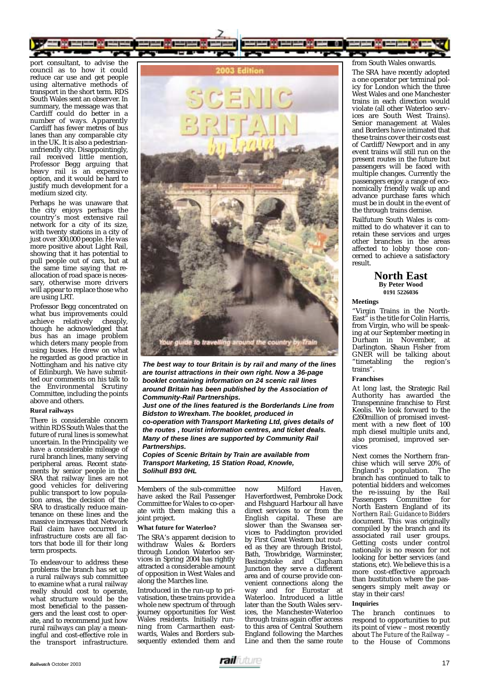

port consultant, to advise the council as to how it could reduce car use and get people using alternative methods of transport in the short term. RDS South Wales sent an observer. In summary, the message was that Cardiff could do better in a number of ways. Apparently Cardiff has fewer metres of bus lanes than any comparable city in the UK. It is also a pedestrianunfriendly city. Disappointingly, rail received little mention, Professor Begg arguing that heavy rail is an expensive option, and it would be hard to justify much development for a medium sized city.

Perhaps he was unaware that the city enjoys perhaps the country's most extensive rail network for a city of its size, with twenty stations in a city of just over 300,000 people. He was more positive about Light Rail, showing that it has potential to pull people out of cars, but at the same time saying that reallocation of road space is necessary, otherwise more drivers will appear to replace those who are using LRT.

Professor Begg concentrated on what bus improvements could<br>achieve relatively cheaply. achieve relatively though he acknowledged that bus has an image problem which deters many people from using buses. He drew on what he regarded as good practice in Nottingham and his native city of Edinburgh. We have submitted our comments on his talk to the Environmental Scrutiny Committee, including the points above and others.

### **Rural railways**

There is considerable concern within RDS South Wales that the future of rural lines is somewhat uncertain. In the Principality we have a considerable mileage of rural branch lines, many serving peripheral areas. Recent statements by senior people in the SRA that railway lines are not good vehicles for delivering public transport to low population areas, the decision of the SRA to drastically reduce maintenance on these lines and the massive increases that Network Rail claim have occurred in infrastructure costs are all factors that bode ill for their long term prospects.

To endeavour to address these problems the branch has set up a rural railways sub committee to examine what a rural railway really should cost to operate, what structure would be the most beneficial to the passengers and the least cost to operate, and to recommend just how rural railways can play a meaningful and cost-effective role in the transport infrastructure.



**The best way to tour Britain is by rail and many of the lines are tourist attractions in their own right. Now a 36-page booklet containing information on 24 scenic rail lines around Britain has been published by the Association of Community-Rail Partnerships.**

**Just one of the lines featured is the Borderlands Line from Bidston to Wrexham. The booklet, produced in co-operation with Transport Marketing Ltd, gives details of the routes , tourist information centres, and ticket deals. Many of these lines are supported by Community Rail Partnerships.**

**Copies of Scenic Britain by Train are available from Transport Marketing, 15 Station Road, Knowle, Solihull B93 0HL**

Members of the sub-committee have asked the Rail Passenger Committee for Wales to co-operate with them making this a joint project.

### **What future for Waterloo?**

The SRA's apparent decision to withdraw Wales & Borders through London Waterloo services in Spring 2004 has rightly attracted a considerable amount of opposition in West Wales and along the Marches line.

Introduced in the run-up to privatisation, these trains provide a whole new spectrum of through journey opportunities for West Wales residents. Initially running from Carmarthen eastwards, Wales and Borders subsequently extended them and

now Milford Haven, Haverfordwest, Pembroke Dock and Fishguard Harbour all have direct services to or from the English capital. These are slower than the Swansea services to Paddington provided by First Great Western but routed as they are through Bristol, Bath, Trowbridge, Warminster, Basingstoke and Clapham Junction they serve a different area and of course provide convenient connections along the way and for Eurostar at Waterloo. Introduced a little later than the South Wales services, the Manchester-Waterloo through trains again offer access to this area of Central Southern England following the Marches Line and then the same route

### from South Wales onwards.

The SRA have recently adopted a one operator per terminal policy for London which the three West Wales and one Manchester trains in each direction would violate (all other Waterloo services are South West Trains). Senior management at Wales and Borders have intimated that these trains cover their costs east of Cardiff/Newport and in any event trains will still run on the present routes in the future but passengers will be faced with multiple changes. Currently the passengers enjoy a range of economically friendly walk up and advance purchase fares which must be in doubt in the event of the through trains demise.

Railfuture South Wales is committed to do whatever it can to retain these services and urges other branches in the areas affected to lobby those concerned to achieve a satisfactory result.

### **North East By Peter Wood 0191 5226036**

### **Meetings**

"Virgin Trains in the North-East" is the title for Colin Harris, from Virgin, who will be speaking at our September meeting in Durham in November, at Darlington. Shaun Fisher from GNER will be talking about "timetabling the region's trains".

### **Franchises**

At long last, the Strategic Rail Authority has awarded the Transpennine franchise to First Keolis. We look forward to the £260million of promised investment with a new fleet of 100 mph diesel multiple units and, also promised, improved services

Next comes the Northern franchise which will serve 20% of<br>England's population The England's population. branch has continued to talk to potential bidders and welcomes the re-issuing by the Rail Passengers Committee for North Eastern England of its *Northern Rail: Guidance to Bidders* document. This was originally compiled by the branch and its associated rail user groups. Getting costs under control nationally is no reason for not looking for better services (and stations, etc). We believe this is a more cost-effective approach than bustitution where the passengers simply melt away or stay in their cars!

### **Inquiries**

The branch continues to respond to opportunities to put its point of view – most recently about *The Future of the Railway* – to the House of Commons